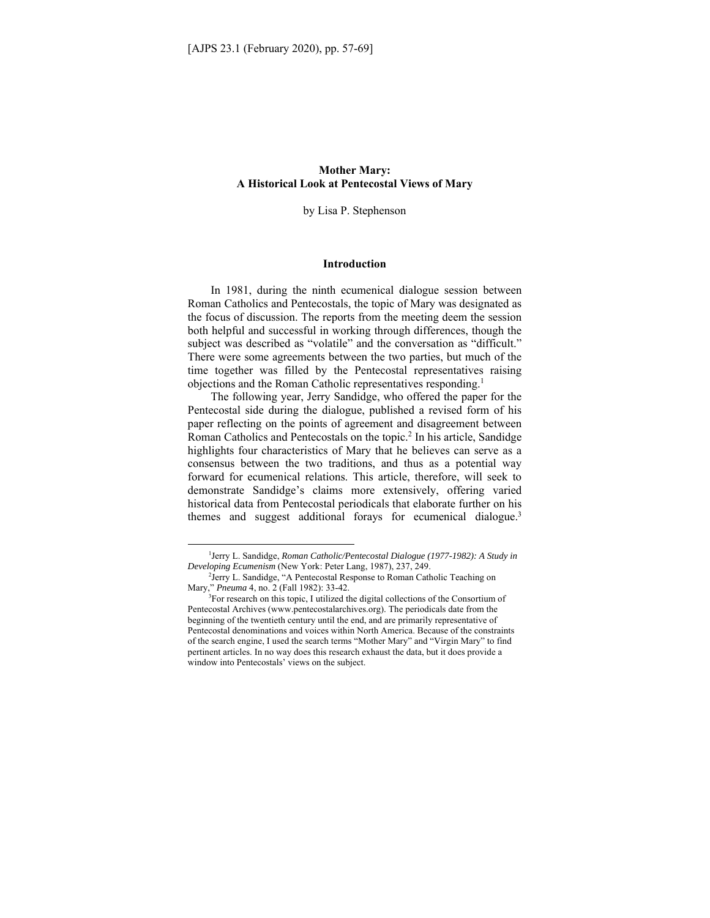## **Mother Mary: A Historical Look at Pentecostal Views of Mary**

by Lisa P. Stephenson

#### **Introduction**

In 1981, during the ninth ecumenical dialogue session between Roman Catholics and Pentecostals, the topic of Mary was designated as the focus of discussion. The reports from the meeting deem the session both helpful and successful in working through differences, though the subject was described as "volatile" and the conversation as "difficult." There were some agreements between the two parties, but much of the time together was filled by the Pentecostal representatives raising objections and the Roman Catholic representatives responding.1

The following year, Jerry Sandidge, who offered the paper for the Pentecostal side during the dialogue, published a revised form of his paper reflecting on the points of agreement and disagreement between Roman Catholics and Pentecostals on the topic.<sup>2</sup> In his article, Sandidge highlights four characteristics of Mary that he believes can serve as a consensus between the two traditions, and thus as a potential way forward for ecumenical relations. This article, therefore, will seek to demonstrate Sandidge's claims more extensively, offering varied historical data from Pentecostal periodicals that elaborate further on his themes and suggest additional forays for ecumenical dialogue.<sup>3</sup>

<sup>&</sup>lt;sup>1</sup> Jerry L. Sandidge, Roman Catholic/Pentecostal Dialogue (1977-1982): A Study in *Developing Ecumenism* (New York: Peter Lang, 1987), 237, 249.

<sup>&</sup>lt;sup>2</sup>Jerry L. Sandidge, "A Pentecostal Response to Roman Catholic Teaching on Mary," *Pneuma* 4, no. 2 (Fall 1982): 33-42.

<sup>&</sup>lt;sup>3</sup>For research on this topic, I utilized the digital collections of the Consortium of Pentecostal Archives (www.pentecostalarchives.org). The periodicals date from the beginning of the twentieth century until the end, and are primarily representative of Pentecostal denominations and voices within North America. Because of the constraints of the search engine, I used the search terms "Mother Mary" and "Virgin Mary" to find pertinent articles. In no way does this research exhaust the data, but it does provide a window into Pentecostals' views on the subject.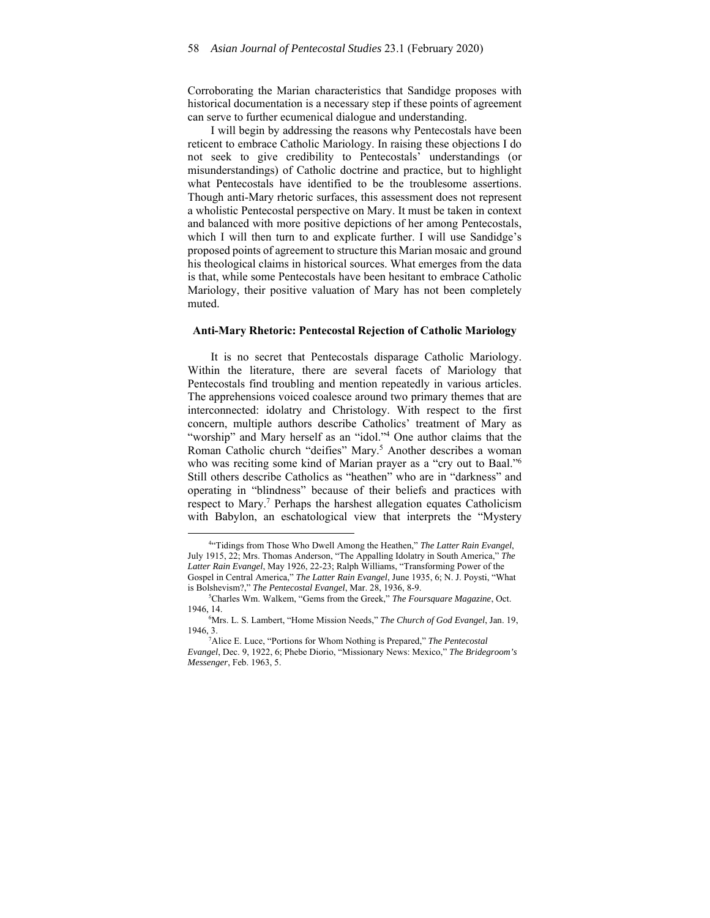Corroborating the Marian characteristics that Sandidge proposes with historical documentation is a necessary step if these points of agreement can serve to further ecumenical dialogue and understanding.

I will begin by addressing the reasons why Pentecostals have been reticent to embrace Catholic Mariology. In raising these objections I do not seek to give credibility to Pentecostals' understandings (or misunderstandings) of Catholic doctrine and practice, but to highlight what Pentecostals have identified to be the troublesome assertions. Though anti-Mary rhetoric surfaces, this assessment does not represent a wholistic Pentecostal perspective on Mary. It must be taken in context and balanced with more positive depictions of her among Pentecostals, which I will then turn to and explicate further. I will use Sandidge's proposed points of agreement to structure this Marian mosaic and ground his theological claims in historical sources. What emerges from the data is that, while some Pentecostals have been hesitant to embrace Catholic Mariology, their positive valuation of Mary has not been completely muted.

#### **Anti-Mary Rhetoric: Pentecostal Rejection of Catholic Mariology**

It is no secret that Pentecostals disparage Catholic Mariology. Within the literature, there are several facets of Mariology that Pentecostals find troubling and mention repeatedly in various articles. The apprehensions voiced coalesce around two primary themes that are interconnected: idolatry and Christology. With respect to the first concern, multiple authors describe Catholics' treatment of Mary as "worship" and Mary herself as an "idol."<sup>4</sup> One author claims that the Roman Catholic church "deifies" Mary.<sup>5</sup> Another describes a woman who was reciting some kind of Marian prayer as a "cry out to Baal."<sup>6</sup> Still others describe Catholics as "heathen" who are in "darkness" and operating in "blindness" because of their beliefs and practices with respect to Mary.<sup>7</sup> Perhaps the harshest allegation equates Catholicism with Babylon, an eschatological view that interprets the "Mystery

<sup>4</sup> "Tidings from Those Who Dwell Among the Heathen," *The Latter Rain Evangel*, July 1915, 22; Mrs. Thomas Anderson, "The Appalling Idolatry in South America," *The Latter Rain Evangel*, May 1926, 22-23; Ralph Williams, "Transforming Power of the Gospel in Central America," *The Latter Rain Evangel*, June 1935, 6; N. J. Poysti, "What is Bolshevism?," *The Pentecostal Evangel*, Mar. 28, 1936, 8-9. 5

Charles Wm. Walkem, "Gems from the Greek," *The Foursquare Magazine*, Oct. 1946, 14. 6

Mrs. L. S. Lambert, "Home Mission Needs," *The Church of God Evangel*, Jan. 19, 1946, 3. 7

Alice E. Luce, "Portions for Whom Nothing is Prepared," *The Pentecostal Evangel*, Dec. 9, 1922, 6; Phebe Diorio, "Missionary News: Mexico," *The Bridegroom's Messenger*, Feb. 1963, 5.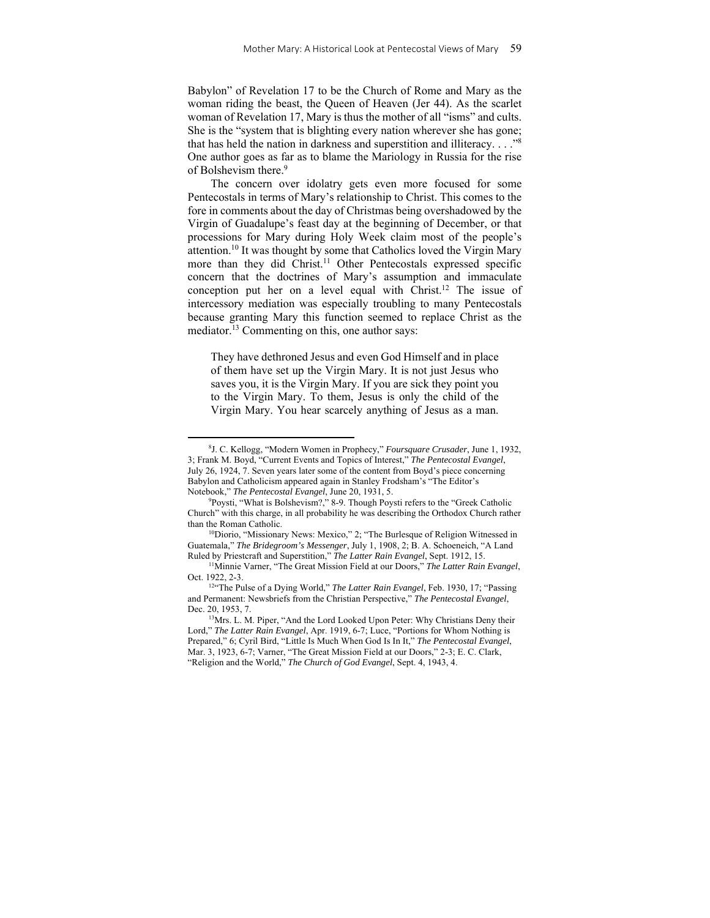Babylon" of Revelation 17 to be the Church of Rome and Mary as the woman riding the beast, the Queen of Heaven (Jer 44). As the scarlet woman of Revelation 17, Mary is thus the mother of all "isms" and cults. She is the "system that is blighting every nation wherever she has gone; that has held the nation in darkness and superstition and illiteracy. . . ."8 One author goes as far as to blame the Mariology in Russia for the rise of Bolshevism there.<sup>9</sup>

The concern over idolatry gets even more focused for some Pentecostals in terms of Mary's relationship to Christ. This comes to the fore in comments about the day of Christmas being overshadowed by the Virgin of Guadalupe's feast day at the beginning of December, or that processions for Mary during Holy Week claim most of the people's attention.10 It was thought by some that Catholics loved the Virgin Mary more than they did Christ.<sup>11</sup> Other Pentecostals expressed specific concern that the doctrines of Mary's assumption and immaculate conception put her on a level equal with Christ.12 The issue of intercessory mediation was especially troubling to many Pentecostals because granting Mary this function seemed to replace Christ as the mediator.<sup>13</sup> Commenting on this, one author says:

They have dethroned Jesus and even God Himself and in place of them have set up the Virgin Mary. It is not just Jesus who saves you, it is the Virgin Mary. If you are sick they point you to the Virgin Mary. To them, Jesus is only the child of the Virgin Mary. You hear scarcely anything of Jesus as a man.

<sup>8</sup> J. C. Kellogg, "Modern Women in Prophecy," *Foursquare Crusader*, June 1, 1932, 3; Frank M. Boyd, "Current Events and Topics of Interest," *The Pentecostal Evangel*, July 26, 1924, 7. Seven years later some of the content from Boyd's piece concerning Babylon and Catholicism appeared again in Stanley Frodsham's "The Editor's Notebook," The Pentecostal Evangel, June 20, 1931, 5.

Poysti, "What is Bolshevism?," 8-9. Though Poysti refers to the "Greek Catholic Church" with this charge, in all probability he was describing the Orthodox Church rather

<sup>&</sup>lt;sup>10</sup>Diorio, "Missionary News: Mexico," 2; "The Burlesque of Religion Witnessed in Guatemala," *The Bridegroom's Messenger*, July 1, 1908, 2; B. A. Schoeneich, "A Land Ruled by Priestcraft and Superstition," *The Latter Rain Evangel*, Sept. 1912, 15.

<sup>11</sup>Minnie Varner, "The Great Mission Field at our Doors," *The Latter Rain Evangel*, Oct. 1922, 2-3. 12"The Pulse of a Dying World," *The Latter Rain Evangel*, Feb. 1930, 17; "Passing

and Permanent: Newsbriefs from the Christian Perspective," *The Pentecostal Evangel*, Dec. 20, 1953, 7.<br><sup>13</sup>Mrs. L. M. Piper, "And the Lord Looked Upon Peter: Why Christians Deny their

Lord," *The Latter Rain Evangel*, Apr. 1919, 6-7; Luce, "Portions for Whom Nothing is Prepared," 6; Cyril Bird, "Little Is Much When God Is In It," *The Pentecostal Evangel*, Mar. 3, 1923, 6-7; Varner, "The Great Mission Field at our Doors," 2-3; E. C. Clark, "Religion and the World," *The Church of God Evangel*, Sept. 4, 1943, 4.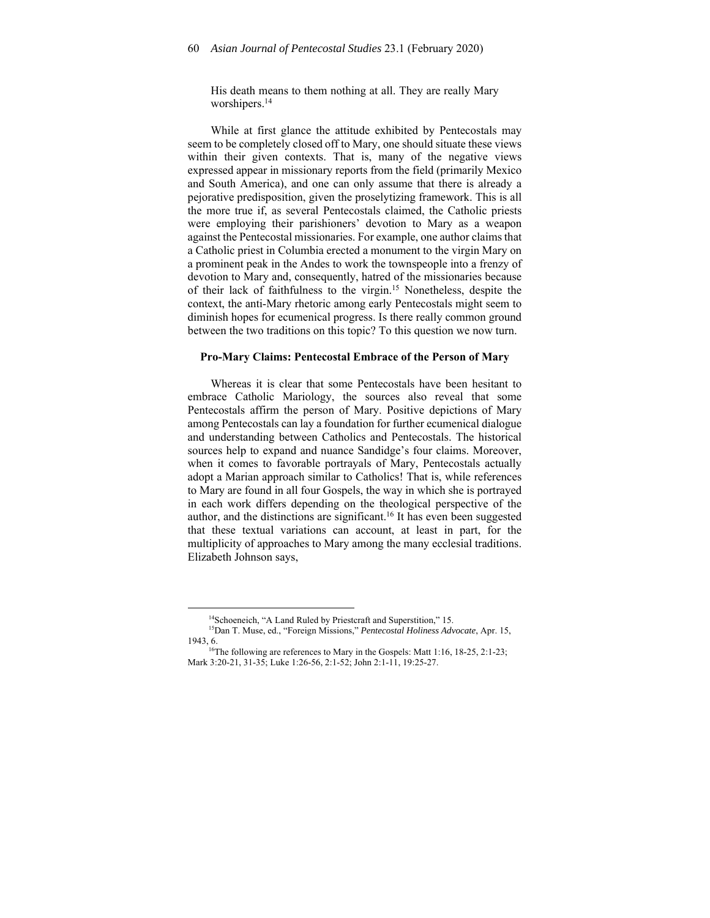His death means to them nothing at all. They are really Mary worshipers.<sup>14</sup>

While at first glance the attitude exhibited by Pentecostals may seem to be completely closed off to Mary, one should situate these views within their given contexts. That is, many of the negative views expressed appear in missionary reports from the field (primarily Mexico and South America), and one can only assume that there is already a pejorative predisposition, given the proselytizing framework. This is all the more true if, as several Pentecostals claimed, the Catholic priests were employing their parishioners' devotion to Mary as a weapon against the Pentecostal missionaries. For example, one author claims that a Catholic priest in Columbia erected a monument to the virgin Mary on a prominent peak in the Andes to work the townspeople into a frenzy of devotion to Mary and, consequently, hatred of the missionaries because of their lack of faithfulness to the virgin.15 Nonetheless, despite the context, the anti-Mary rhetoric among early Pentecostals might seem to diminish hopes for ecumenical progress. Is there really common ground between the two traditions on this topic? To this question we now turn.

#### **Pro-Mary Claims: Pentecostal Embrace of the Person of Mary**

Whereas it is clear that some Pentecostals have been hesitant to embrace Catholic Mariology, the sources also reveal that some Pentecostals affirm the person of Mary. Positive depictions of Mary among Pentecostals can lay a foundation for further ecumenical dialogue and understanding between Catholics and Pentecostals. The historical sources help to expand and nuance Sandidge's four claims. Moreover, when it comes to favorable portrayals of Mary, Pentecostals actually adopt a Marian approach similar to Catholics! That is, while references to Mary are found in all four Gospels, the way in which she is portrayed in each work differs depending on the theological perspective of the author, and the distinctions are significant.<sup>16</sup> It has even been suggested that these textual variations can account, at least in part, for the multiplicity of approaches to Mary among the many ecclesial traditions. Elizabeth Johnson says,

<sup>&</sup>lt;sup>14</sup>Schoeneich, "A Land Ruled by Priestcraft and Superstition," 15.

<sup>15</sup>Dan T. Muse, ed., "Foreign Missions," *Pentecostal Holiness Advocate*, Apr. 15, 1943, 6.

<sup>&</sup>lt;sup>16</sup>The following are references to Mary in the Gospels: Matt 1:16, 18-25, 2:1-23; Mark 3:20-21, 31-35; Luke 1:26-56, 2:1-52; John 2:1-11, 19:25-27.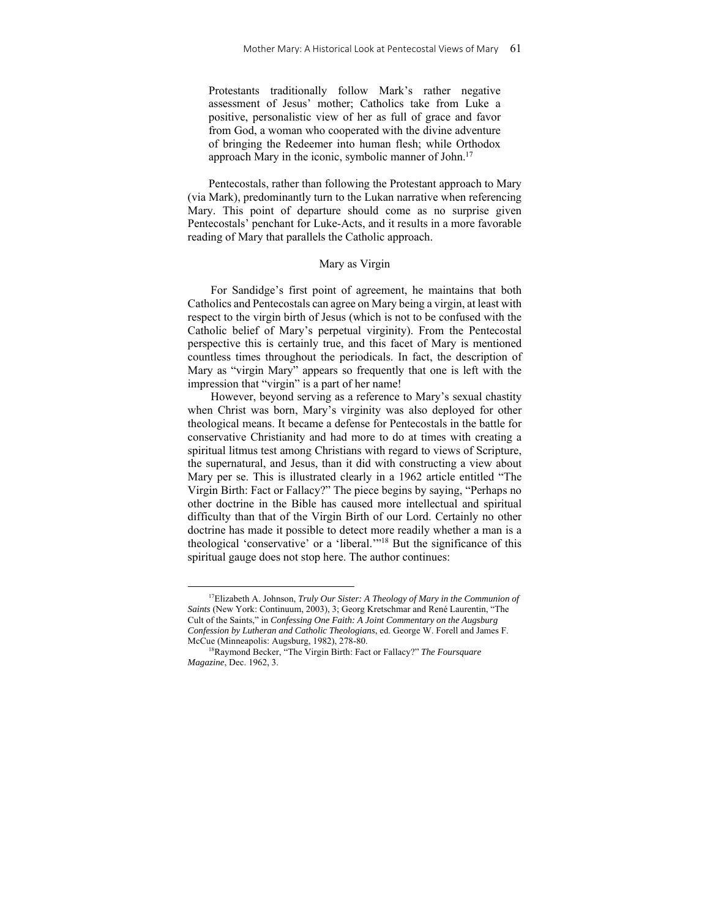Protestants traditionally follow Mark's rather negative assessment of Jesus' mother; Catholics take from Luke a positive, personalistic view of her as full of grace and favor from God, a woman who cooperated with the divine adventure of bringing the Redeemer into human flesh; while Orthodox approach Mary in the iconic, symbolic manner of John.<sup>17</sup>

Pentecostals, rather than following the Protestant approach to Mary (via Mark), predominantly turn to the Lukan narrative when referencing Mary. This point of departure should come as no surprise given Pentecostals' penchant for Luke-Acts, and it results in a more favorable reading of Mary that parallels the Catholic approach.

### Mary as Virgin

For Sandidge's first point of agreement, he maintains that both Catholics and Pentecostals can agree on Mary being a virgin, at least with respect to the virgin birth of Jesus (which is not to be confused with the Catholic belief of Mary's perpetual virginity). From the Pentecostal perspective this is certainly true, and this facet of Mary is mentioned countless times throughout the periodicals. In fact, the description of Mary as "virgin Mary" appears so frequently that one is left with the impression that "virgin" is a part of her name!

However, beyond serving as a reference to Mary's sexual chastity when Christ was born, Mary's virginity was also deployed for other theological means. It became a defense for Pentecostals in the battle for conservative Christianity and had more to do at times with creating a spiritual litmus test among Christians with regard to views of Scripture, the supernatural, and Jesus, than it did with constructing a view about Mary per se. This is illustrated clearly in a 1962 article entitled "The Virgin Birth: Fact or Fallacy?" The piece begins by saying, "Perhaps no other doctrine in the Bible has caused more intellectual and spiritual difficulty than that of the Virgin Birth of our Lord. Certainly no other doctrine has made it possible to detect more readily whether a man is a theological 'conservative' or a 'liberal.'"18 But the significance of this spiritual gauge does not stop here. The author continues:

<sup>17</sup>Elizabeth A. Johnson, *Truly Our Sister: A Theology of Mary in the Communion of Saints* (New York: Continuum, 2003), 3; Georg Kretschmar and René Laurentin, "The Cult of the Saints," in *Confessing One Faith: A Joint Commentary on the Augsburg Confession by Lutheran and Catholic Theologians*, ed. George W. Forell and James F. McCue (Minneapolis: Augsburg, 1982), 278-80.<br><sup>18</sup>Raymond Becker, "The Virgin Birth: Fact or Fallacy?" *The Foursquare* 

*Magazine*, Dec. 1962, 3.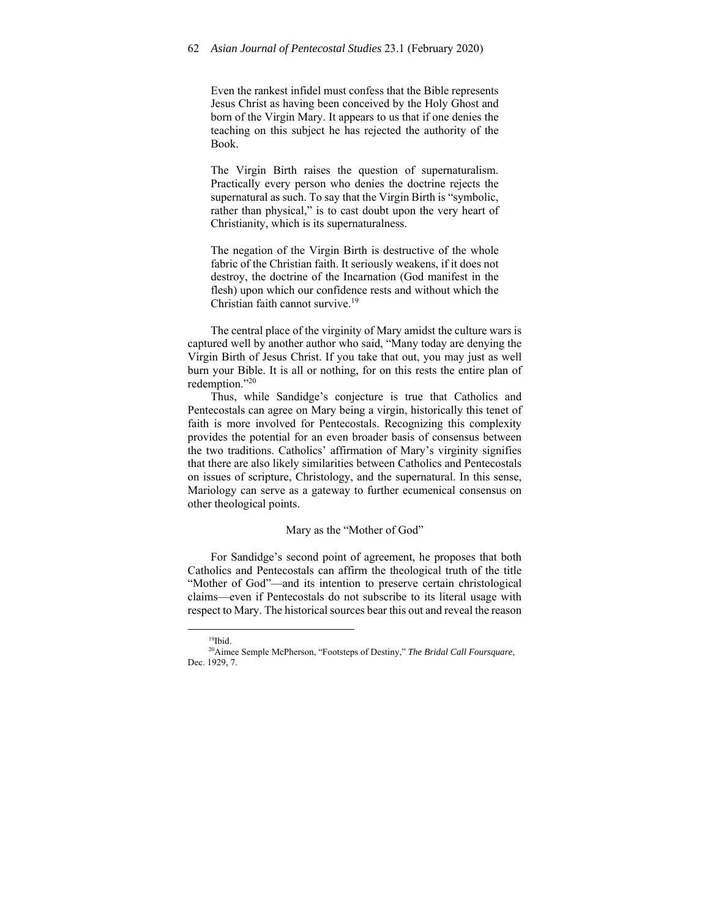Even the rankest infidel must confess that the Bible represents Jesus Christ as having been conceived by the Holy Ghost and born of the Virgin Mary. It appears to us that if one denies the teaching on this subject he has rejected the authority of the Book.

The Virgin Birth raises the question of supernaturalism. Practically every person who denies the doctrine rejects the supernatural as such. To say that the Virgin Birth is "symbolic, rather than physical," is to cast doubt upon the very heart of Christianity, which is its supernaturalness.

The negation of the Virgin Birth is destructive of the whole fabric of the Christian faith. It seriously weakens, if it does not destroy, the doctrine of the Incarnation (God manifest in the flesh) upon which our confidence rests and without which the Christian faith cannot survive.19

The central place of the virginity of Mary amidst the culture wars is captured well by another author who said, "Many today are denying the Virgin Birth of Jesus Christ. If you take that out, you may just as well burn your Bible. It is all or nothing, for on this rests the entire plan of redemption."20

Thus, while Sandidge's conjecture is true that Catholics and Pentecostals can agree on Mary being a virgin, historically this tenet of faith is more involved for Pentecostals. Recognizing this complexity provides the potential for an even broader basis of consensus between the two traditions. Catholics' affirmation of Mary's virginity signifies that there are also likely similarities between Catholics and Pentecostals on issues of scripture, Christology, and the supernatural. In this sense, Mariology can serve as a gateway to further ecumenical consensus on other theological points.

#### Mary as the "Mother of God"

For Sandidge's second point of agreement, he proposes that both Catholics and Pentecostals can affirm the theological truth of the title "Mother of God"—and its intention to preserve certain christological claims—even if Pentecostals do not subscribe to its literal usage with respect to Mary. The historical sources bear this out and reveal the reason

 $19$ Ibid.

<sup>20</sup>Aimee Semple McPherson, "Footsteps of Destiny," *The Bridal Call Foursquare*, Dec. 1929, 7.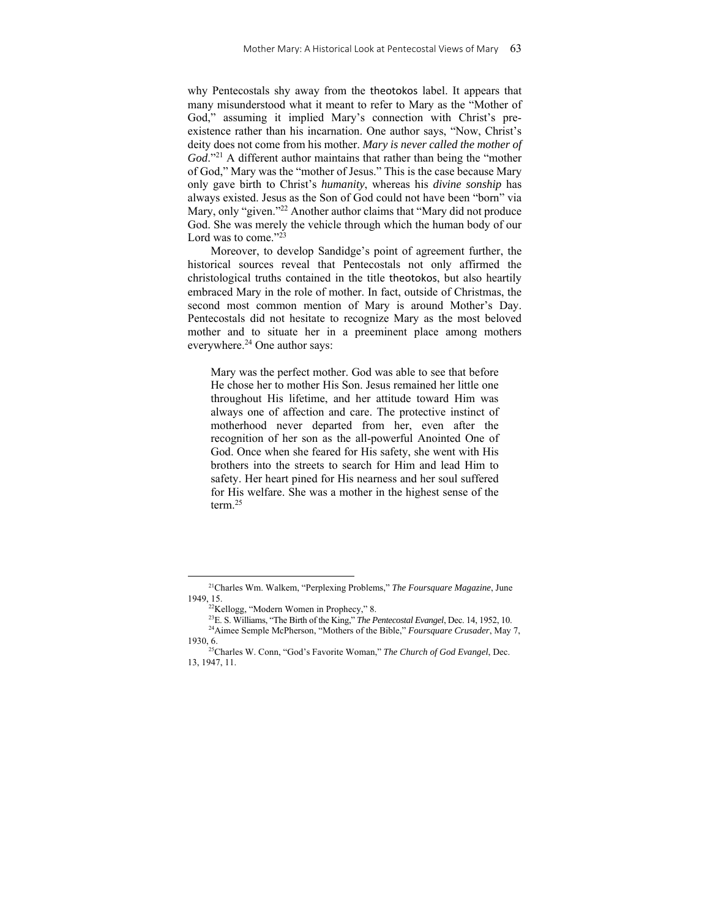why Pentecostals shy away from the theotokos label. It appears that many misunderstood what it meant to refer to Mary as the "Mother of God," assuming it implied Mary's connection with Christ's preexistence rather than his incarnation. One author says, "Now, Christ's deity does not come from his mother. *Mary is never called the mother of God*."21 A different author maintains that rather than being the "mother of God," Mary was the "mother of Jesus." This is the case because Mary only gave birth to Christ's *humanity*, whereas his *divine sonship* has always existed. Jesus as the Son of God could not have been "born" via Mary, only "given."<sup>22</sup> Another author claims that "Mary did not produce God. She was merely the vehicle through which the human body of our Lord was to come."<sup>23</sup>

Moreover, to develop Sandidge's point of agreement further, the historical sources reveal that Pentecostals not only affirmed the christological truths contained in the title theotokos, but also heartily embraced Mary in the role of mother. In fact, outside of Christmas, the second most common mention of Mary is around Mother's Day. Pentecostals did not hesitate to recognize Mary as the most beloved mother and to situate her in a preeminent place among mothers everywhere.24 One author says:

Mary was the perfect mother. God was able to see that before He chose her to mother His Son. Jesus remained her little one throughout His lifetime, and her attitude toward Him was always one of affection and care. The protective instinct of motherhood never departed from her, even after the recognition of her son as the all-powerful Anointed One of God. Once when she feared for His safety, she went with His brothers into the streets to search for Him and lead Him to safety. Her heart pined for His nearness and her soul suffered for His welfare. She was a mother in the highest sense of the term.25

<sup>21</sup>Charles Wm. Walkem, "Perplexing Problems," *The Foursquare Magazine*, June 1949, 15.<br><sup>22</sup>Kellogg, "Modern Women in Prophecy," 8.<br><sup>23</sup>E. S. Williams, "The Birth of the King," *The Pentecostal Evangel*, Dec. 14, 1952, 10.

<sup>&</sup>lt;sup>24</sup>Aimee Semple McPherson, "Mothers of the Bible," *Foursquare Crusader*, May 7, 1930, 6. 25Charles W. Conn, "God's Favorite Woman," *The Church of God Evangel*, Dec.

<sup>13, 1947, 11.</sup>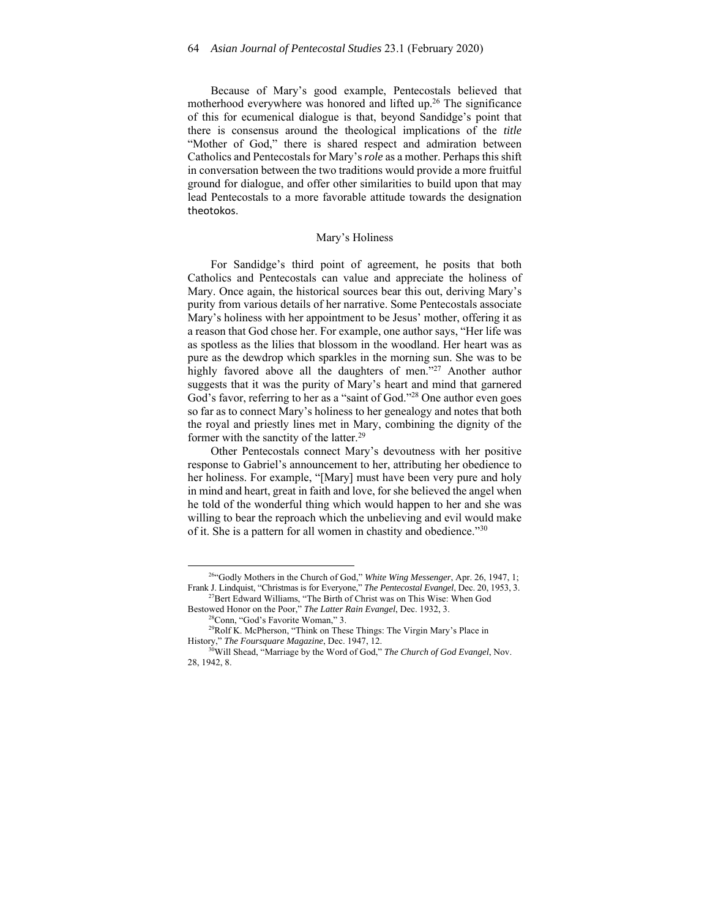Because of Mary's good example, Pentecostals believed that motherhood everywhere was honored and lifted up.<sup>26</sup> The significance of this for ecumenical dialogue is that, beyond Sandidge's point that there is consensus around the theological implications of the *title* "Mother of God," there is shared respect and admiration between Catholics and Pentecostals for Mary's *role* as a mother. Perhaps this shift in conversation between the two traditions would provide a more fruitful ground for dialogue, and offer other similarities to build upon that may lead Pentecostals to a more favorable attitude towards the designation theotokos.

#### Mary's Holiness

For Sandidge's third point of agreement, he posits that both Catholics and Pentecostals can value and appreciate the holiness of Mary. Once again, the historical sources bear this out, deriving Mary's purity from various details of her narrative. Some Pentecostals associate Mary's holiness with her appointment to be Jesus' mother, offering it as a reason that God chose her. For example, one author says, "Her life was as spotless as the lilies that blossom in the woodland. Her heart was as pure as the dewdrop which sparkles in the morning sun. She was to be highly favored above all the daughters of men."<sup>27</sup> Another author suggests that it was the purity of Mary's heart and mind that garnered God's favor, referring to her as a "saint of God."28 One author even goes so far as to connect Mary's holiness to her genealogy and notes that both the royal and priestly lines met in Mary, combining the dignity of the former with the sanctity of the latter.<sup>29</sup>

Other Pentecostals connect Mary's devoutness with her positive response to Gabriel's announcement to her, attributing her obedience to her holiness. For example, "[Mary] must have been very pure and holy in mind and heart, great in faith and love, for she believed the angel when he told of the wonderful thing which would happen to her and she was willing to bear the reproach which the unbelieving and evil would make of it. She is a pattern for all women in chastity and obedience."<sup>30</sup>

<sup>26&</sup>quot;Godly Mothers in the Church of God," *White Wing Messenger*, Apr. 26, 1947, 1; Frank J. Lindquist, "Christmas is for Everyone," *The Pentecostal Evangel*, Dec. 20, 1953, 3. 27Bert Edward Williams, "The Birth of Christ was on This Wise: When God

Bestowed Honor on the Poor," *The Latter Rain Evangel*, Dec. 1932, 3.<br><sup>28</sup>Conn, "God's Favorite Woman," 3.

<sup>29</sup>Rolf K. McPherson, "Think on These Things: The Virgin Mary's Place in History," *The Foursquare Magazine*, Dec. 1947, 12. 30Will Shead, "Marriage by the Word of God," *The Church of God Evangel*, Nov.

<sup>28, 1942, 8.</sup>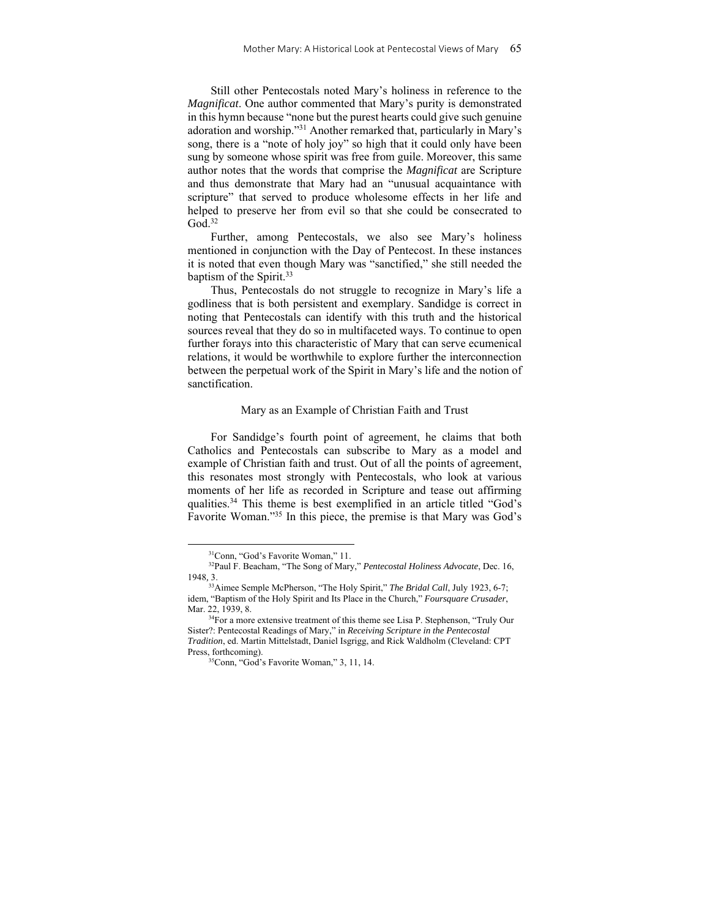Still other Pentecostals noted Mary's holiness in reference to the *Magnificat*. One author commented that Mary's purity is demonstrated in this hymn because "none but the purest hearts could give such genuine adoration and worship."31 Another remarked that, particularly in Mary's song, there is a "note of holy joy" so high that it could only have been sung by someone whose spirit was free from guile. Moreover, this same author notes that the words that comprise the *Magnificat* are Scripture and thus demonstrate that Mary had an "unusual acquaintance with scripture" that served to produce wholesome effects in her life and helped to preserve her from evil so that she could be consecrated to  $God.<sup>32</sup>$ 

Further, among Pentecostals, we also see Mary's holiness mentioned in conjunction with the Day of Pentecost. In these instances it is noted that even though Mary was "sanctified," she still needed the baptism of the Spirit.<sup>33</sup>

Thus, Pentecostals do not struggle to recognize in Mary's life a godliness that is both persistent and exemplary. Sandidge is correct in noting that Pentecostals can identify with this truth and the historical sources reveal that they do so in multifaceted ways. To continue to open further forays into this characteristic of Mary that can serve ecumenical relations, it would be worthwhile to explore further the interconnection between the perpetual work of the Spirit in Mary's life and the notion of sanctification.

#### Mary as an Example of Christian Faith and Trust

For Sandidge's fourth point of agreement, he claims that both Catholics and Pentecostals can subscribe to Mary as a model and example of Christian faith and trust. Out of all the points of agreement, this resonates most strongly with Pentecostals, who look at various moments of her life as recorded in Scripture and tease out affirming qualities.<sup>34</sup> This theme is best exemplified in an article titled "God's Favorite Woman."35 In this piece, the premise is that Mary was God's

<sup>31</sup>Conn, "God's Favorite Woman," 11.

<sup>32</sup>Paul F. Beacham, "The Song of Mary," *Pentecostal Holiness Advocate*, Dec. 16, 1948*,* 3.

<sup>33</sup>Aimee Semple McPherson, "The Holy Spirit," *The Bridal Call*, July 1923, 6-7; idem, "Baptism of the Holy Spirit and Its Place in the Church," *Foursquare Crusader*, Mar. 22, 1939, 8.<br><sup>34</sup>For a more extensive treatment of this theme see Lisa P. Stephenson, "Truly Our

Sister?: Pentecostal Readings of Mary," in *Receiving Scripture in the Pentecostal Tradition*, ed. Martin Mittelstadt, Daniel Isgrigg, and Rick Waldholm (Cleveland: CPT Press, forthcoming).<br><sup>35</sup>Conn, "God's Favorite Woman," 3, 11, 14.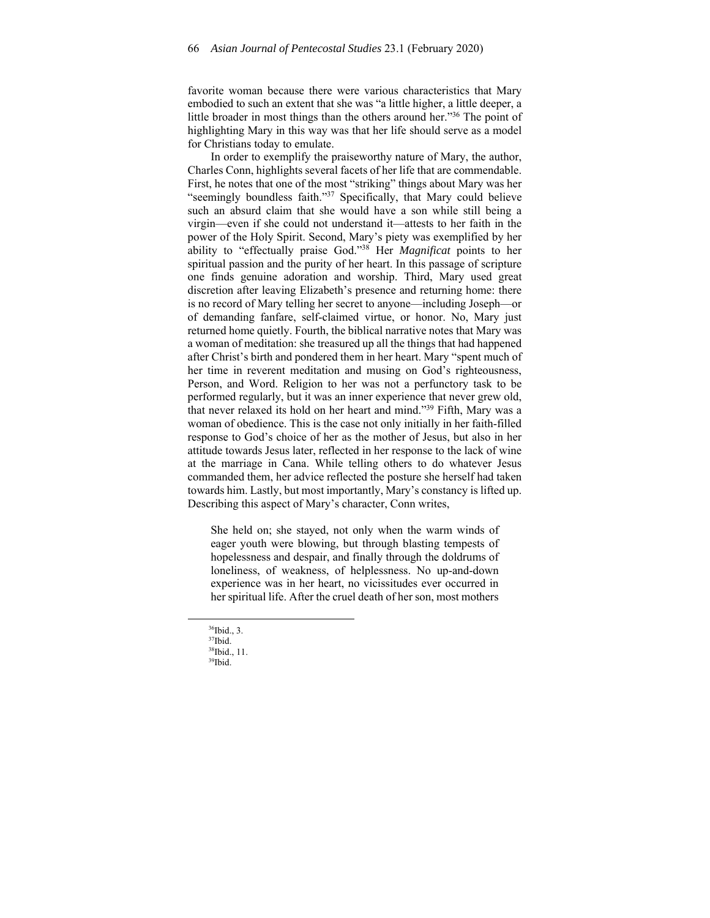favorite woman because there were various characteristics that Mary embodied to such an extent that she was "a little higher, a little deeper, a little broader in most things than the others around her."36 The point of highlighting Mary in this way was that her life should serve as a model for Christians today to emulate.

In order to exemplify the praiseworthy nature of Mary, the author, Charles Conn, highlights several facets of her life that are commendable. First, he notes that one of the most "striking" things about Mary was her "seemingly boundless faith."<sup>37</sup> Specifically, that Mary could believe such an absurd claim that she would have a son while still being a virgin—even if she could not understand it—attests to her faith in the power of the Holy Spirit. Second, Mary's piety was exemplified by her ability to "effectually praise God."38 Her *Magnificat* points to her spiritual passion and the purity of her heart. In this passage of scripture one finds genuine adoration and worship. Third, Mary used great discretion after leaving Elizabeth's presence and returning home: there is no record of Mary telling her secret to anyone—including Joseph—or of demanding fanfare, self-claimed virtue, or honor. No, Mary just returned home quietly. Fourth, the biblical narrative notes that Mary was a woman of meditation: she treasured up all the things that had happened after Christ's birth and pondered them in her heart. Mary "spent much of her time in reverent meditation and musing on God's righteousness, Person, and Word. Religion to her was not a perfunctory task to be performed regularly, but it was an inner experience that never grew old, that never relaxed its hold on her heart and mind."39 Fifth, Mary was a woman of obedience. This is the case not only initially in her faith-filled response to God's choice of her as the mother of Jesus, but also in her attitude towards Jesus later, reflected in her response to the lack of wine at the marriage in Cana. While telling others to do whatever Jesus commanded them, her advice reflected the posture she herself had taken towards him. Lastly, but most importantly, Mary's constancy is lifted up. Describing this aspect of Mary's character, Conn writes,

She held on; she stayed, not only when the warm winds of eager youth were blowing, but through blasting tempests of hopelessness and despair, and finally through the doldrums of loneliness, of weakness, of helplessness. No up-and-down experience was in her heart, no vicissitudes ever occurred in her spiritual life. After the cruel death of her son, most mothers

36Ibid., 3.

 $37$ Ibid.

<sup>38</sup>Ibid., 11. 39Ibid.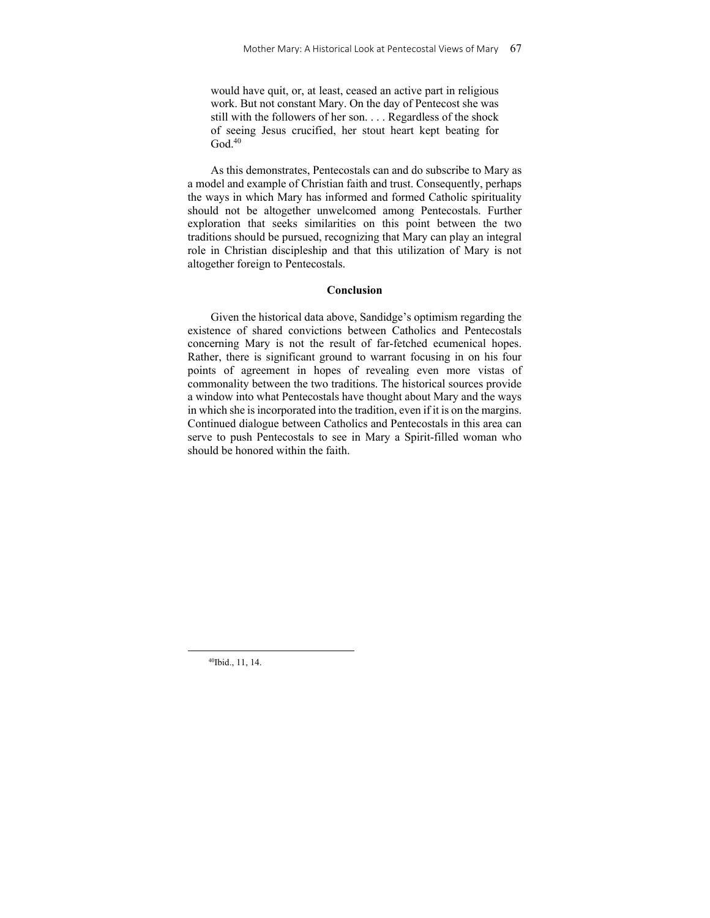would have quit, or, at least, ceased an active part in religious work. But not constant Mary. On the day of Pentecost she was still with the followers of her son. . . . Regardless of the shock of seeing Jesus crucified, her stout heart kept beating for  $God.<sup>40</sup>$ 

As this demonstrates, Pentecostals can and do subscribe to Mary as a model and example of Christian faith and trust. Consequently, perhaps the ways in which Mary has informed and formed Catholic spirituality should not be altogether unwelcomed among Pentecostals. Further exploration that seeks similarities on this point between the two traditions should be pursued, recognizing that Mary can play an integral role in Christian discipleship and that this utilization of Mary is not altogether foreign to Pentecostals.

#### **Conclusion**

Given the historical data above, Sandidge's optimism regarding the existence of shared convictions between Catholics and Pentecostals concerning Mary is not the result of far-fetched ecumenical hopes. Rather, there is significant ground to warrant focusing in on his four points of agreement in hopes of revealing even more vistas of commonality between the two traditions. The historical sources provide a window into what Pentecostals have thought about Mary and the ways in which she is incorporated into the tradition, even if it is on the margins. Continued dialogue between Catholics and Pentecostals in this area can serve to push Pentecostals to see in Mary a Spirit-filled woman who should be honored within the faith.

40Ibid., 11, 14.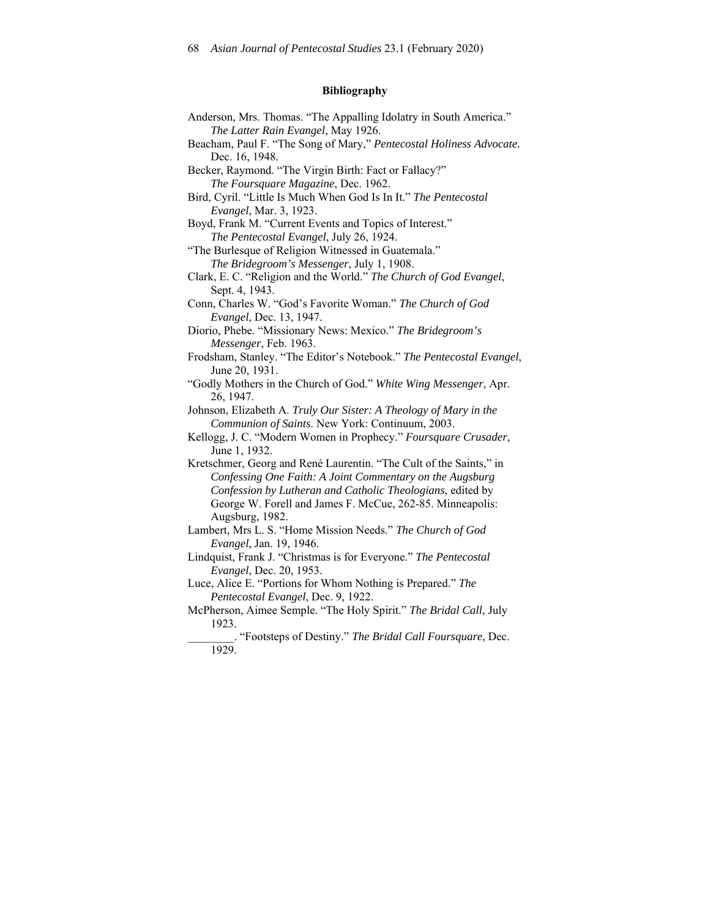# **Bibliography**

| Anderson, Mrs. Thomas. "The Appalling Idolatry in South America."                          |
|--------------------------------------------------------------------------------------------|
| The Latter Rain Evangel, May 1926.                                                         |
| Beacham, Paul F. "The Song of Mary," Pentecostal Holiness Advocate.                        |
| Dec. 16, 1948.                                                                             |
| Becker, Raymond. "The Virgin Birth: Fact or Fallacy?"                                      |
| The Foursquare Magazine, Dec. 1962.                                                        |
| Bird, Cyril. "Little Is Much When God Is In It." The Pentecostal<br>Evangel, Mar. 3, 1923. |
| Boyd, Frank M. "Current Events and Topics of Interest."                                    |
| The Pentecostal Evangel, July 26, 1924.                                                    |
| "The Burlesque of Religion Witnessed in Guatemala."                                        |
| The Bridegroom's Messenger, July 1, 1908.                                                  |
| Clark, E. C. "Religion and the World." The Church of God Evangel,                          |
| Sept. 4, 1943.                                                                             |
| Conn, Charles W. "God's Favorite Woman." The Church of God                                 |
| Evangel, Dec. 13, 1947.                                                                    |
| Diorio, Phebe. "Missionary News: Mexico." The Bridegroom's                                 |
| Messenger, Feb. 1963.                                                                      |
| Frodsham, Stanley. "The Editor's Notebook." The Pentecostal Evangel,                       |
| June 20, 1931.                                                                             |
| "Godly Mothers in the Church of God." White Wing Messenger, Apr.                           |
| 26, 1947.                                                                                  |
| Johnson, Elizabeth A. Truly Our Sister: A Theology of Mary in the                          |
| Communion of Saints. New York: Continuum, 2003.                                            |
| Kellogg, J. C. "Modern Women in Prophecy." Foursquare Crusader,                            |
| June 1, 1932.                                                                              |
| Kretschmer, Georg and René Laurentin. "The Cult of the Saints," in                         |
| Confessing One Faith: A Joint Commentary on the Augsburg                                   |
| Confession by Lutheran and Catholic Theologians, edited by                                 |
| George W. Forell and James F. McCue, 262-85. Minneapolis:                                  |
| Augsburg, 1982.                                                                            |
| Lambert, Mrs L. S. "Home Mission Needs." The Church of God                                 |
| Evangel, Jan. 19, 1946.                                                                    |
| Lindquist, Frank J. "Christmas is for Everyone." The Pentecostal                           |
| Evangel, Dec. 20, 1953.                                                                    |
| Luce, Alice E. "Portions for Whom Nothing is Prepared." The                                |
| Pentecostal Evangel, Dec. 9, 1922.                                                         |
| McPherson, Aimee Semple. "The Holy Spirit." The Bridal Call, July                          |
| 1923.                                                                                      |
| . "Footsteps of Destiny." The Bridal Call Foursquare, Dec.                                 |
| 1020                                                                                       |

1929.